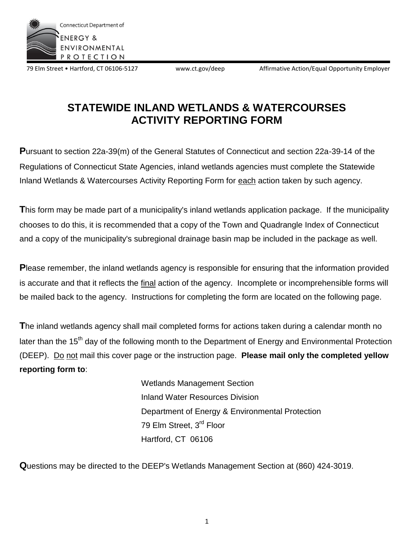

79 Elm Street • Hartford, CT 06106-5127 www.ct.gov/deep Affirmative Action/Equal Opportunity Employer

# **STATEWIDE INLAND WETLANDS & WATERCOURSES ACTIVITY REPORTING FORM**

**P**ursuant to section 22a-39(m) of the General Statutes of Connecticut and section 22a-39-14 of the Regulations of Connecticut State Agencies, inland wetlands agencies must complete the Statewide Inland Wetlands & Watercourses Activity Reporting Form for each action taken by such agency.

**T**his form may be made part of a municipality's inland wetlands application package. If the municipality chooses to do this, it is recommended that a copy of the Town and Quadrangle Index of Connecticut and a copy of the municipality's subregional drainage basin map be included in the package as well.

**P**lease remember, the inland wetlands agency is responsible for ensuring that the information provided is accurate and that it reflects the final action of the agency. Incomplete or incomprehensible forms will be mailed back to the agency. Instructions for completing the form are located on the following page.

**T**he inland wetlands agency shall mail completed forms for actions taken during a calendar month no later than the 15<sup>th</sup> day of the following month to the Department of Energy and Environmental Protection (DEEP). Do not mail this cover page or the instruction page. **Please mail only the completed yellow reporting form to**:

> Wetlands Management Section Inland Water Resources Division Department of Energy & Environmental Protection 79 Elm Street, 3<sup>rd</sup> Floor Hartford, CT 06106

**Q**uestions may be directed to the DEEP's Wetlands Management Section at (860) 424-3019.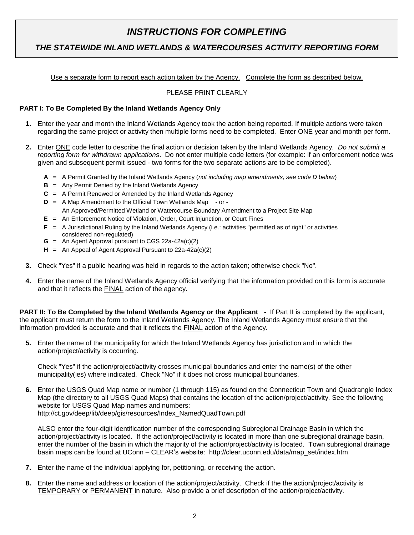### *INSTRUCTIONS FOR COMPLETING*

### *THE STATEWIDE INLAND WETLANDS & WATERCOURSES ACTIVITY REPORTING FORM*

Use a separate form to report each action taken by the Agency. Complete the form as described below.

#### PLEASE PRINT CLEARLY

#### **PART I: To Be Completed By the Inland Wetlands Agency Only**

- **1.** Enter the year and month the Inland Wetlands Agency took the action being reported. If multiple actions were taken regarding the same project or activity then multiple forms need to be completed. Enter ONE year and month per form.
- **2.** Enter ONE code letter to describe the final action or decision taken by the Inland Wetlands Agency. *Do not submit a reporting form for withdrawn applications*. Do not enter multiple code letters (for example: if an enforcement notice was given and subsequent permit issued - two forms for the two separate actions are to be completed).
	- **A** = A Permit Granted by the Inland Wetlands Agency (*not including map amendments, see code D below*)
	- **B** = Any Permit Denied by the Inland Wetlands Agency
	- **C** = A Permit Renewed or Amended by the Inland Wetlands Agency
	- **D** = A Map Amendment to the Official Town Wetlands Map or
		- An Approved/Permitted Wetland or Watercourse Boundary Amendment to a Project Site Map
	- **E** = An Enforcement Notice of Violation, Order, Court Injunction, or Court Fines
	- **F** = A Jurisdictional Ruling by the Inland Wetlands Agency (i.e.: activities "permitted as of right" or activities considered non-regulated)
	- **G** = An Agent Approval pursuant to CGS 22a-42a(c)(2)
	- **H** = An Appeal of Agent Approval Pursuant to 22a-42a(c)(2)
- **3.** Check "Yes" if a public hearing was held in regards to the action taken; otherwise check "No".
- **4.** Enter the name of the Inland Wetlands Agency official verifying that the information provided on this form is accurate and that it reflects the FINAL action of the agency.

**PART II: To Be Completed by the Inland Wetlands Agency or the Applicant - If Part II is completed by the applicant,** the applicant must return the form to the Inland Wetlands Agency. The Inland Wetlands Agency must ensure that the information provided is accurate and that it reflects the FINAL action of the Agency.

**5.** Enter the name of the municipality for which the Inland Wetlands Agency has jurisdiction and in which the action/project/activity is occurring.

Check "Yes" if the action/project/activity crosses municipal boundaries and enter the name(s) of the other municipality(ies) where indicated. Check "No" if it does not cross municipal boundaries.

**6.** Enter the USGS Quad Map name or number (1 through 115) as found on the Connecticut Town and Quadrangle Index Map (the directory to all USGS Quad Maps) that contains the location of the action/project/activity. See the following website for USGS Quad Map names and numbers: http://ct.gov/deep/lib/deep/gis/resources/Index\_NamedQuadTown.pdf

ALSO enter the four-digit identification number of the corresponding Subregional Drainage Basin in which the action/project/activity is located. If the action/project/activity is located in more than one subregional drainage basin, enter the number of the basin in which the majority of the action/project/activity is located. Town subregional drainage basin maps can be found at UConn – CLEAR's website: http://clear.uconn.edu/data/map\_set/index.htm

- **7.** Enter the name of the individual applying for, petitioning, or receiving the action.
- **8.** Enter the name and address or location of the action/project/activity. Check if the the action/project/activity is TEMPORARY or PERMANENT in nature. Also provide a brief description of the action/project/activity.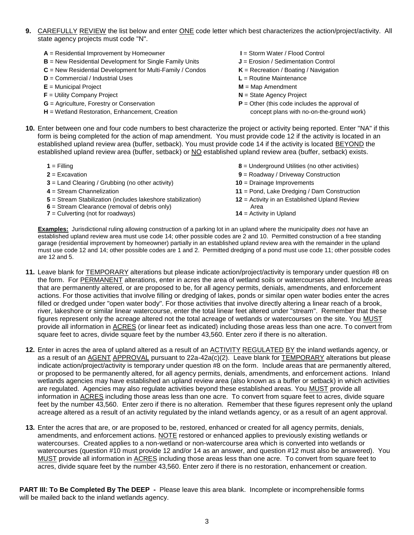- **9.** CAREFULLY REVIEW the list below and enter ONE code letter which best characterizes the action/project/activity. All state agency projects must code "N".
	- **A** = Residential Improvement by Homeowner **I** = Storm Water / Flood Control
	- **B** = New Residential Development for Single Family Units **J** = Erosion / Sedimentation Control
	- **C** = New Residential Development for Multi-Family / Condos **K** = Recreation / Boating / Navigation
	- **D** = Commercial / Industrial Uses **L** = Routine Maintenance
	-
	- **F** = Utility Company Project **N** = State Agency Project
	-
	- **H** = Wetland Restoration, Enhancement, Creation concept plans with no-on-the-ground work)
- 
- 
- 
- - **E** = Municipal Project **M** = Map Amendment
		-
	- **G** = Agriculture, Forestry or Conservation **P** = Other (this code includes the approval of
- **10.** Enter between one and four code numbers to best characterize the project or activity being reported. Enter "NA" if this form is being completed for the action of map amendment. You must provide code 12 if the activity is located in an established upland review area (buffer, setback). You must provide code 14 if the activity is located BEYOND the established upland review area (buffer, setback) or NO established upland review area (buffer, setback) exists.

| $1 =$ Filling                                                                                                                                         | 8 = Underground Utilities (no other activities)                                    |
|-------------------------------------------------------------------------------------------------------------------------------------------------------|------------------------------------------------------------------------------------|
| $2 = Excavation$                                                                                                                                      | $9$ = Roadway / Driveway Construction                                              |
| $3 =$ Land Clearing / Grubbing (no other activity)                                                                                                    | $10$ = Drainage Improvements                                                       |
| $4 =$ Stream Channelization                                                                                                                           | $11$ = Pond, Lake Dredging / Dam Construction                                      |
| 5 = Stream Stabilization (includes lakeshore stabilization)<br>$6$ = Stream Clearance (removal of debris only)<br>$7 =$ Culverting (not for roadways) | 12 = Activity in an Established Upland Review<br>Area<br>$14$ = Activity in Upland |

**Examples:** Jurisdictional ruling allowing construction of a parking lot in an upland where the municipality *does not* have an established upland review area must use code 14; other possible codes are 2 and 10. Permitted construction of a free standing garage (residential improvement by homeowner) partially in an established upland review area with the remainder in the upland must use code 12 and 14; other possible codes are 1 and 2. Permitted dredging of a pond must use code 11; other possible codes are 12 and 5.

- **11.** Leave blank for TEMPORARY alterations but please indicate action/project/activity is temporary under question #8 on the form. For PERMANENT alterations, enter in acres the area of wetland soils or watercourses altered. Include areas that are permanently altered, or are proposed to be, for all agency permits, denials, amendments, and enforcement actions. For those activities that involve filling or dredging of lakes, ponds or similar open water bodies enter the acres filled or dredged under "open water body". For those activities that involve directly altering a linear reach of a brook, river, lakeshore or similar linear watercourse, enter the total linear feet altered under "stream". Remember that these figures represent only the acreage altered not the total acreage of wetlands or watercourses on the site. You MUST provide all information in ACRES (or linear feet as indicated) including those areas less than one acre. To convert from square feet to acres, divide square feet by the number 43,560. Enter zero if there is no alteration.
- **12.** Enter in acres the area of upland altered as a result of an ACTIVITY REGULATED BY the inland wetlands agency, or as a result of an AGENT APPROVAL pursuant to 22a-42a(c)(2). Leave blank for TEMPORARY alterations but please indicate action/project/activity is temporary under question #8 on the form. Include areas that are permanently altered, or proposed to be permanently altered, for all agency permits, denials, amendments, and enforcement actions. Inland wetlands agencies may have established an upland review area (also known as a buffer or setback) in which activities are regulated. Agencies may also regulate activities beyond these established areas. You MUST provide all information in ACRES including those areas less than one acre. To convert from square feet to acres, divide square feet by the number 43,560. Enter zero if there is no alteration. Remember that these figures represent only the upland acreage altered as a result of an activity regulated by the inland wetlands agency, or as a result of an agent approval.
- **13.** Enter the acres that are, or are proposed to be, restored, enhanced or created for all agency permits, denials, amendments, and enforcement actions. NOTE restored or enhanced applies to previously existing wetlands or watercourses. Created applies to a non-wetland or non-watercourse area which is converted into wetlands or watercourses (question #10 must provide 12 and/or 14 as an answer, and question #12 must also be answered). You MUST provide all information in ACRES including those areas less than one acre. To convert from square feet to acres, divide square feet by the number 43,560. Enter zero if there is no restoration, enhancement or creation.

**PART III: To Be Completed By The DEEP -** Please leave this area blank. Incomplete or incomprehensible forms will be mailed back to the inland wetlands agency.